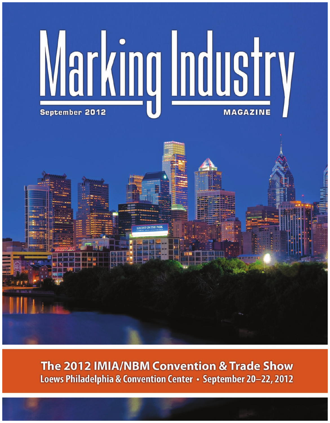

The 2012 IMIA/NBM Convention & Trade Show Loews Philadelphia & Convention Center • September 20-22, 2012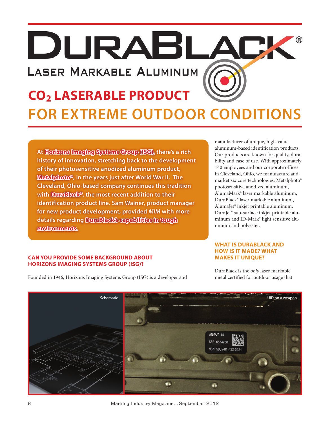DURABL **LASER MARKABLE ALUMINUM** 

# **CO2 Laserable Product for Extreme Outdoor Conditions**

**At Horizons Imaging Systems Group (ISG), there's a rich history of innovation, stretching back to the development of their photosensitive anodized aluminum product, Metalphoto®, in the years just after World War II. The Cleveland, Ohio-based company continues this tradition with DuraBlack®, the most recent addition to their identification product line. Sam Wainer, product manager for new product development, provided** *MIM* **with more details regarding DuraBlack's capabilities in tough environments.**

**Can you provide some background about Horizons Imaging Systems Group (ISG)?**

Founded in 1946, Horizons Imaging Systems Group (ISG) is a developer and

manufacturer of unique, high-value aluminum-based identification products. Our products are known for quality, durability and ease of use. With approximately 140 employees and our corporate offices in Cleveland, Ohio, we manufacture and market six core technologies: Metalphoto® photosensitive anodized aluminum, AlumaMark® laser markable aluminum, DuraBlack® laser markable aluminum, AlumaJet® inkjet printable aluminum, DuraJet® sub-surface inkjet printable aluminum and ID-Mark® light sensitive aluminum and polyester.

### **What is DuraBlack and how is it made? What makes it unique?**

DuraBlack is the *only* laser markable metal certified for outdoor usage that

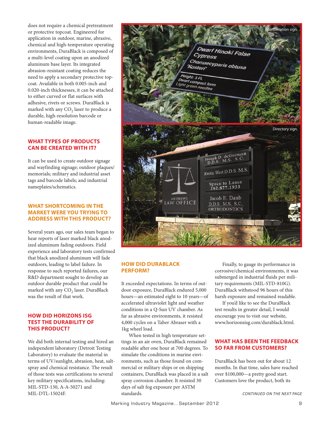does not require a chemical pretreatment or protective topcoat. Engineered for application in outdoor, marine, abrasive, chemical and high-temperature operating environments, DuraBlack is composed of a multi-level coating upon an anodized aluminum base layer. Its integrated abrasion-resistant coating reduces the need to apply a secondary protective topcoat. Available in both 0.005-inch and 0.020-inch thicknesses, it can be attached to either curved or flat surfaces with adhesive, rivets or screws. DuraBlack is marked with any  $CO<sub>2</sub>$  laser to produce a durable, high-resolution barcode or human-readable image.

### **What types of products can be created with it?**

It can be used to create outdoor signage and wayfinding signage; outdoor plaques/ memorials; military and industrial asset tags and barcode labels; and industrial nameplates/schematics.

### **WHAT SHORTCOMING IN THE market were you trying to address with this product?**

Several years ago, our sales team began to hear reports of laser marked black anodized aluminum fading outdoors. Field experience and laboratory tests confirmed that black anodized aluminum will fade outdoors, leading to label failure. In response to such reported failures, our R&D department sought to develop an outdoor durable product that could be marked with any CO<sub>2</sub> laser. DuraBlack was the result of that work.

### **How did Horizons ISG test the durability of this product?**

We did both internal testing and hired an independent laboratory (Detroit Testing Laboratory) to evaluate the material in terms of UV/sunlight, abrasion, heat, saltspray and chemical resistance. The result of those tests was certifications to several key military specifications, including: MIL-STD-130, A-A-50271 and MIL-DTL-15024F.



#### **How did DuraBlack perform?**

It exceeded expectations. In terms of outdoor exposure, DuraBlack endured 5,000 hours—an estimated eight to 10 years—of accelerated ultraviolet light and weather conditions in a Q-Sun UV chamber. As far as abrasive environments, it resisted 4,000 cycles on a Taber Abraser with a 1kg wheel load.

When tested in high temperature settings in an air oven, DuraBlack remained readable after one hour at 700 degrees. To simulate the conditions in marine environments, such as those found on commercial or military ships or on shipping containers, DuraBlack was placed in a salt spray corrosion chamber. It resisted 30 days of salt fog exposure per ASTM standards.

Finally, to gauge its performance in corrosive/chemical environments, it was submerged in industrial fluids per military requirements (MIL-STD-810G). DuraBlack withstood 96 hours of this harsh exposure and remained readable.

If you'd like to see the DuraBlack test results in greater detail, I would encourage you to visit our website, www.horizonsisg.com/durablack.html.

### **What has been the feedback so far from customers?**

DuraBlack has been out for about 12 months. In that time, sales have reached over \$100,000—a pretty good start. Customers love the product, both its

*continued on the next page*